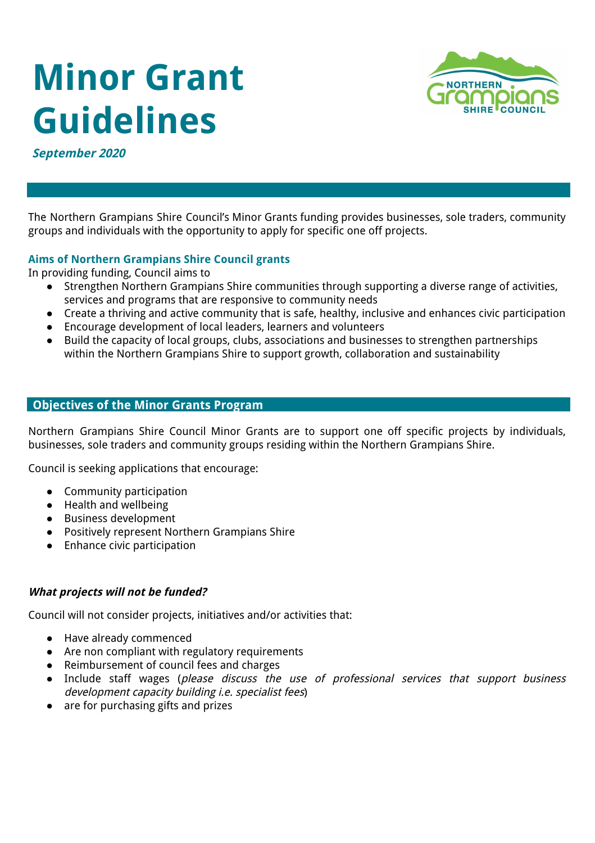# **Minor Grant Guidelines**



**September 2020** 

The Northern Grampians Shire Council's Minor Grants funding provides businesses, sole traders, community groups and individuals with the opportunity to apply for specific one off projects.

# **Aims of Northern Grampians Shire Council grants**

In providing funding, Council aims to

- Strengthen Northern Grampians Shire communities through supporting a diverse range of activities, services and programs that are responsive to community needs
- Create a thriving and active community that is safe, healthy, inclusive and enhances civic participation
- Encourage development of local leaders, learners and volunteers
- Build the capacity of local groups, clubs, associations and businesses to strengthen partnerships within the Northern Grampians Shire to support growth, collaboration and sustainability

## **Objectives of the Minor Grants Program**

Northern Grampians Shire Council Minor Grants are to support one off specific projects by individuals, businesses, sole traders and community groups residing within the Northern Grampians Shire.

Council is seeking applications that encourage:

- Community participation
- Health and wellbeing
- Business development
- Positively represent Northern Grampians Shire
- Enhance civic participation

## **What projects will not be funded?**

Council will not consider projects, initiatives and/or activities that:

- Have already commenced
- Are non compliant with regulatory requirements
- Reimbursement of council fees and charges
- Include staff wages (please discuss the use of professional services that support business development capacity building i.e. specialist fees)
- are for purchasing gifts and prizes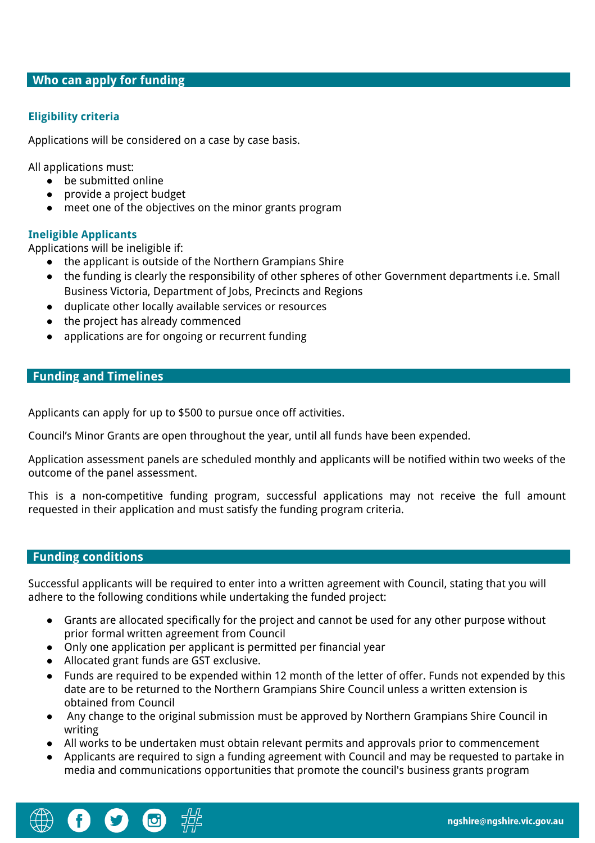#### **Who can apply for funding**

## **Eligibility criteria**

Applications will be considered on a case by case basis.

All applications must:

- be submitted online
- provide a project budget
- meet one of the objectives on the minor grants program

#### **Ineligible Applicants**

Applications will be ineligible if:

- the applicant is outside of the Northern Grampians Shire
- the funding is clearly the responsibility of other spheres of other Government departments i.e. Small Business Victoria, Department of Jobs, Precincts and Regions
- duplicate other locally available services or resources
- the project has already commenced
- applications are for ongoing or recurrent funding

#### **Funding and Timelines**

Applicants can apply for up to \$500 to pursue once off activities.

Council's Minor Grants are open throughout the year, until all funds have been expended.

Application assessment panels are scheduled monthly and applicants will be notified within two weeks of the outcome of the panel assessment.

This is a non-competitive funding program, successful applications may not receive the full amount requested in their application and must satisfy the funding program criteria.

#### **Funding conditions**

Successful applicants will be required to enter into a written agreement with Council, stating that you will adhere to the following conditions while undertaking the funded project:

- Grants are allocated specifically for the project and cannot be used for any other purpose without prior formal written agreement from Council
- Only one application per applicant is permitted per financial year
- Allocated grant funds are GST exclusive.
- Funds are required to be expended within 12 month of the letter of offer. Funds not expended by this date are to be returned to the Northern Grampians Shire Council unless a written extension is obtained from Council
- Any change to the original submission must be approved by Northern Grampians Shire Council in writing
- All works to be undertaken must obtain relevant permits and approvals prior to commencement
- Applicants are required to sign a funding agreement with Council and may be requested to partake in media and communications opportunities that promote the council's business grants program

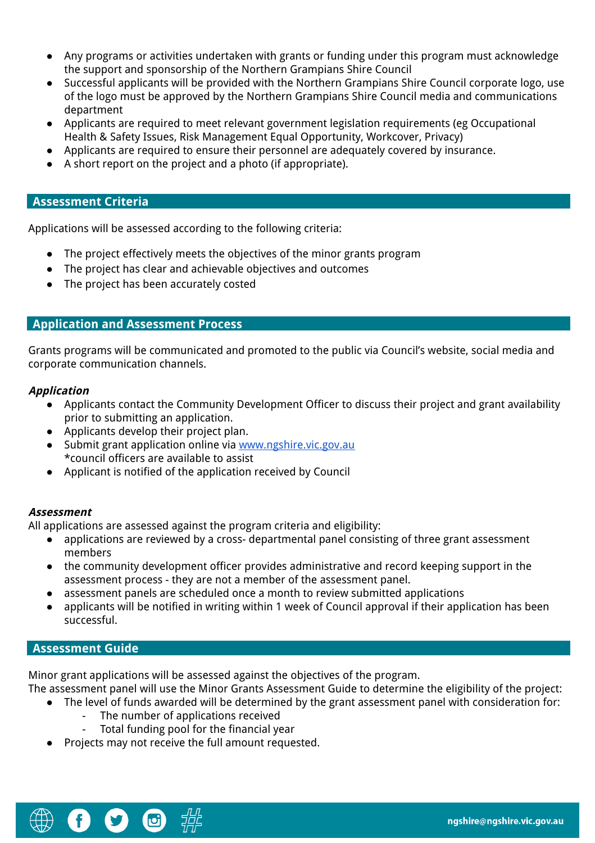- Any programs or activities undertaken with grants or funding under this program must acknowledge the support and sponsorship of the Northern Grampians Shire Council
- Successful applicants will be provided with the Northern Grampians Shire Council corporate logo, use of the logo must be approved by the Northern Grampians Shire Council media and communications department
- Applicants are required to meet relevant government legislation requirements (eg Occupational Health & Safety Issues, Risk Management Equal Opportunity, Workcover, Privacy)
- Applicants are required to ensure their personnel are adequately covered by insurance.
- A short report on the project and a photo (if appropriate).

#### **Assessment Criteria**

Applications will be assessed according to the following criteria:

- The project effectively meets the objectives of the minor grants program
- The project has clear and achievable objectives and outcomes
- The project has been accurately costed

#### **Application and Assessment Process**

Grants programs will be communicated and promoted to the public via Council's website, social media and corporate communication channels.

#### **Application**

- Applicants contact the Community Development Officer to discuss their project and grant availability prior to submitting an application.
- Applicants develop their project plan.
- Submit grant application online via [www.ngshire.vic.gov.au](http://www.ngshire.vic.gov.au/) \*council officers are available to assist
- Applicant is notified of the application received by Council

#### **Assessment**

All applications are assessed against the program criteria and eligibility:

- applications are reviewed by a cross- departmental panel consisting of three grant assessment members
- the community development officer provides administrative and record keeping support in the assessment process - they are not a member of the assessment panel.
- assessment panels are scheduled once a month to review submitted applications
- applicants will be notified in writing within 1 week of Council approval if their application has been successful.

#### **Assessment Guide**

Minor grant applications will be assessed against the objectives of the program.

The assessment panel will use the Minor Grants Assessment Guide to determine the eligibility of the project:

- The level of funds awarded will be determined by the grant assessment panel with consideration for:
	- The number of applications received
	- Total funding pool for the financial year
- Projects may not receive the full amount requested.